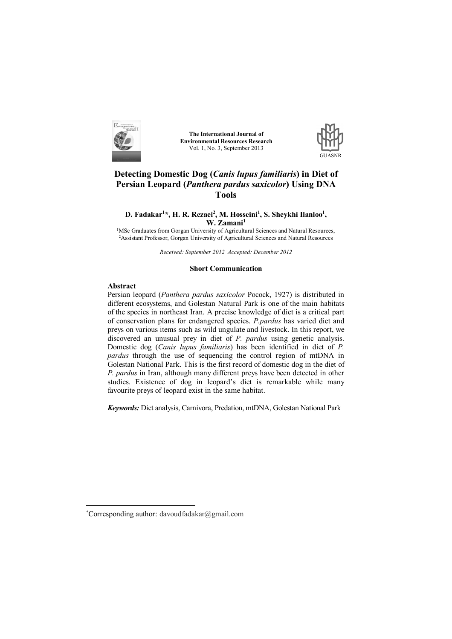

**The International Journal of Environmental Resources Research** Vol. 1, No. 3, September 2013



# **Detecting Domestic Dog (***Canis lupus familiaris***) in Diet of Persian Leopard (***Panthera pardus saxicolor***) Using DNA Tools**

# **D. Fadakar<sup>1</sup> \*, H. R. Rezaei<sup>2</sup> , M. Hosseini<sup>1</sup> , S. Sheykhi Ilanloo<sup>1</sup> , W. Zamani<sup>1</sup>**

<sup>1</sup>MSc Graduates from Gorgan University of Agricultural Sciences and Natural Resources, <sup>2</sup>Assistant Professor, Gorgan University of Agricultural Sciences and Natural Resources

*Received: September 2012 Accepted: December 2012*

#### **Short Communication**

# **Abstract**

 $\overline{a}$ 

Persian leopard (*Panthera pardus saxicolor* Pocock, 1927) is distributed in different ecosystems, and Golestan Natural Park is one of the main habitats of the species in northeast Iran. A precise knowledge of diet is a critical part of conservation plans for endangered species. *P.pardus* has varied diet and preys on various items such as wild ungulate and livestock. In this report, we discovered an unusual prey in diet of *P. pardus* using genetic analysis. Domestic dog (*Canis lupus familiaris*) has been identified in diet of *P. pardus* through the use of sequencing the control region of mtDNA in Golestan National Park. This is the first record of domestic dog in the diet of *P. pardus* in Iran, although many different preys have been detected in other studies. Existence of dog in leopard's diet is remarkable while many favourite preys of leopard exist in the same habitat.

*Keywords:* Diet analysis, Carnivora, Predation, mtDNA, Golestan National Park<sup>1</sup>

<sup>\*</sup>Corresponding author: davoudfadakar@gmail.com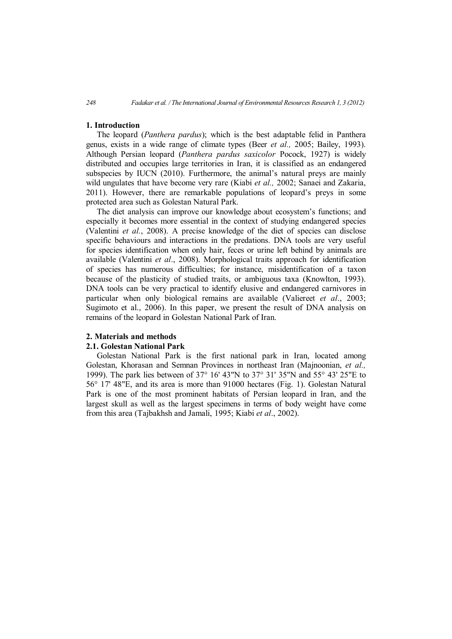## **1. Introduction**

The leopard (*Panthera pardus*); which is the best adaptable felid in Panthera genus, exists in a wide range of climate types (Beer *et al.,* 2005; Bailey, 1993). Although Persian leopard (*Panthera pardus saxicolor* Pocock, 1927) is widely distributed and occupies large territories in Iran, it is classified as an endangered subspecies by IUCN (2010). Furthermore, the animal's natural preys are mainly wild ungulates that have become very rare (Kiabi *et al.,* 2002; Sanaei and Zakaria, 2011). However, there are remarkable populations of leopard's preys in some protected area such as Golestan Natural Park.

The diet analysis can improve our knowledge about ecosystem's functions; and especially it becomes more essential in the context of studying endangered species (Valentini *et al.*, 2008). A precise knowledge of the diet of species can disclose specific behaviours and interactions in the predations. DNA tools are very useful for species identification when only hair, feces or urine left behind by animals are available (Valentini *et al*., 2008). Morphological traits approach for identification of species has numerous difficulties; for instance, misidentification of a taxon because of the plasticity of studied traits, or ambiguous taxa (Knowlton, 1993). DNA tools can be very practical to identify elusive and endangered carnivores in particular when only biological remains are available (Valiereet *et al*., 2003; Sugimoto et al., 2006). In this paper, we present the result of DNA analysis on remains of the leopard in Golestan National Park of Iran.

## **2. Materials and methods**

## **2.1. Golestan National Park**

Golestan National Park is the first national park in Iran, located among Golestan, Khorasan and Semnan Provinces in northeast Iran (Majnoonian, *et al.,* 1999). The park lies between of 37° 16' 43"N to 37° 31' 35"N and 55° 43' 25"E to 56° 17' 48"E, and its area is more than 91000 hectares (Fig. 1). Golestan Natural Park is one of the most prominent habitats of Persian leopard in Iran, and the largest skull as well as the largest specimens in terms of body weight have come from this area (Tajbakhsh and Jamali, 1995; Kiabi *et al*., 2002).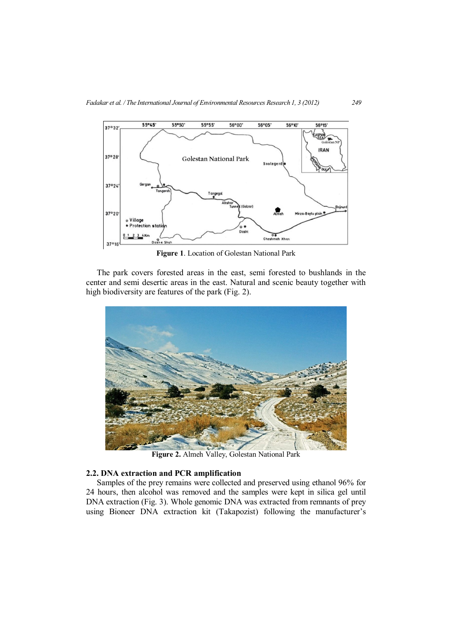

**Figure 1**. Location of Golestan National Park

The park covers forested areas in the east, semi forested to bushlands in the center and semi desertic areas in the east. Natural and scenic beauty together with high biodiversity are features of the park (Fig. 2).



**Figure 2.** Almeh Valley, Golestan National Park

# **2.2. DNA extraction and PCR amplification**

Samples of the prey remains were collected and preserved using ethanol 96% for 24 hours, then alcohol was removed and the samples were kept in silica gel until DNA extraction (Fig. 3). Whole genomic DNA was extracted from remnants of prey using Bioneer DNA extraction kit (Takapozist) following the manufacturer's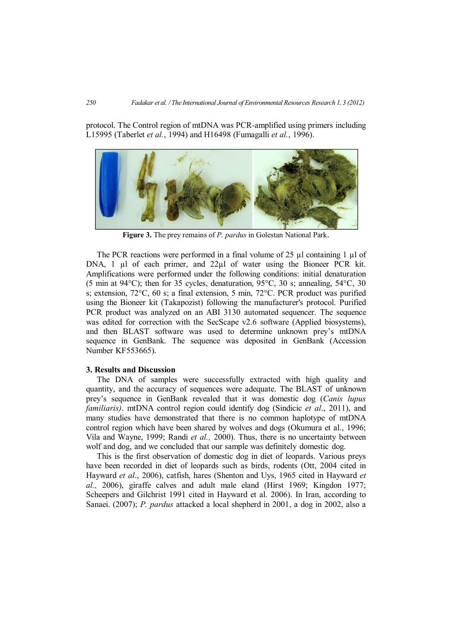protocol. The Control region of mtDNA was PCR-amplified using primers including L15995 (Taberlet *et al.*, 1994) and H16498 (Fumagalli *et al.*, 1996).



**Figure 3.** The prey remains of *P. pardus* in Golestan National Park.

The PCR reactions were performed in a final volume of 25 µl containing 1 µ of DNA, 1 µl of each primer, and 22µl of water using the Bioneer PCR kit. Amplifications were performed under the following conditions: initial denaturation (5 min at 94°C); then for 35 cycles, denaturation, 95°C, 30 s; annealing, 54°C, 30 s; extension, 72°C, 60 s; a final extension, 5 min, 72°C. PCR product was purified using the Bioneer kit (Takapozist) following the manufacturer's protocol. Purified PCR product was analyzed on an ABI 3130 automated sequencer. The sequence was edited for correction with the SecScape v2.6 software (Applied biosystems), and then BLAST software was used to determine unknown prey's mtDNA sequence in GenBank. The sequence was deposited in GenBank (Accession Number KF553665).

# **3. Results and Discussion**

The DNA of samples were successfully extracted with high quality and quantity, and the accuracy of sequences were adequate. The BLAST of unknown prey's sequence in GenBank revealed that it was domestic dog (*Canis lupus familiaris)*. mtDNA control region could identify dog (Sindicic *et al*., 2011), and many studies have demonstrated that there is no common haplotype of mtDNA control region which have been shared by wolves and dogs (Okumura et al., 1996; Vila and Wayne, 1999; Randi *et al.,* 2000). Thus, there is no uncertainty between wolf and dog, and we concluded that our sample was definitely domestic dog.

This is the first observation of domestic dog in diet of leopards. Various preys have been recorded in diet of leopards such as birds, rodents (Ott, 2004 cited in Hayward *et al*., 2006), catfish, hares (Shenton and Uys, 1965 cited in Hayward *et al.,* 2006), giraffe calves and adult male eland (Hirst 1969; Kingdon 1977; Scheepers and Gilchrist 1991 cited in Hayward et al. 2006). In Iran, according to Sanaei. (2007); *P. pardus* attacked a local shepherd in 2001, a dog in 2002, also a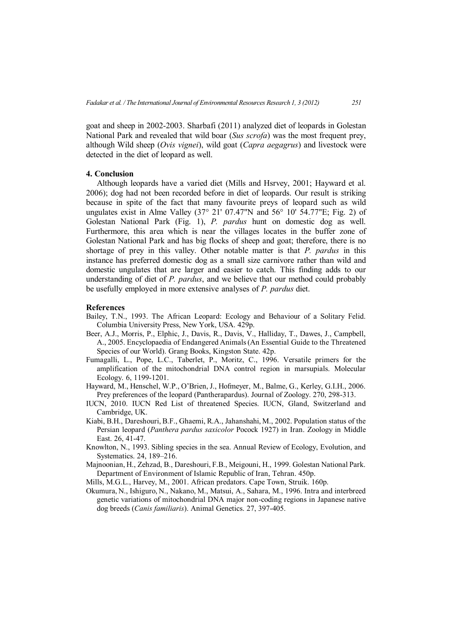goat and sheep in 2002-2003. Sharbafi (2011) analyzed diet of leopards in Golestan National Park and revealed that wild boar (*Sus scrofa*) was the most frequent prey, although Wild sheep (*Ovis vignei*), wild goat (*Capra aegagrus*) and livestock were detected in the diet of leopard as well.

#### **4. Conclusion**

Although leopards have a varied diet (Mills and Hsrvey, 2001; Hayward et al. 2006); dog had not been recorded before in diet of leopards. Our result is striking because in spite of the fact that many favourite preys of leopard such as wild ungulates exist in Alme Valley  $(37^{\circ} 21' 07.47''$ N and  $56^{\circ} 10' 54.77''$ E; Fig. 2) of Golestan National Park (Fig. 1), *P. pardus* hunt on domestic dog as well. Furthermore, this area which is near the villages locates in the buffer zone of Golestan National Park and has big flocks of sheep and goat; therefore, there is no shortage of prey in this valley. Other notable matter is that *P. pardus* in this instance has preferred domestic dog as a small size carnivore rather than wild and domestic ungulates that are larger and easier to catch. This finding adds to our understanding of diet of *P. pardus*, and we believe that our method could probably be usefully employed in more extensive analyses of *P. pardus* diet.

#### **References**

- Bailey, T.N., 1993. The African Leopard: Ecology and Behaviour of a Solitary Felid. Columbia University Press, New York, USA. 429p.
- Beer, A.J., Morris, P., Elphic, J., Davis, R., Davis, V., Halliday, T., Dawes, J., Campbell, A., 2005. Encyclopaedia of Endangered Animals (An Essential Guide to the Threatened Species of our World). Grang Books, Kingston State. 42p.
- Fumagalli, L., Pope, L.C., Taberlet, P., Moritz, C., 1996. Versatile primers for the amplification of the mitochondrial DNA control region in marsupials. Molecular Ecology. 6, 1199-1201.
- Hayward, M., Henschel, W.P., O'Brien, J., Hofmeyer, M., Balme, G., Kerley, G.I.H., 2006. Prey preferences of the leopard (Pantherapardus). Journal of Zoology. 270, 298-313.
- IUCN, 2010. IUCN Red List of threatened Species. IUCN, Gland, Switzerland and Cambridge, UK.
- Kiabi, B.H., Dareshouri, B.F., Ghaemi, R.A., Jahanshahi, M., 2002. Population status of the Persian leopard (*Panthera pardus saxicolor* Pocock 1927) in Iran. Zoology in Middle East. 26, 41-47.
- Knowlton, N., 1993. Sibling species in the sea. Annual Review of Ecology, Evolution, and Systematics. 24, 189–216.
- Majnoonian, H., Zehzad, B., Dareshouri, F.B., Meigouni, H., 1999. Golestan National Park. Department of Environment of Islamic Republic of Iran, Tehran. 450p.
- Mills, M.G.L., Harvey, M., 2001. African predators. Cape Town, Struik. 160p.
- Okumura, N., Ishiguro, N., Nakano, M., Matsui, A., Sahara, M., 1996. Intra and interbreed genetic variations of mitochondrial DNA major non-coding regions in Japanese native dog breeds (*Canis familiaris*). Animal Genetics. 27, 397-405.